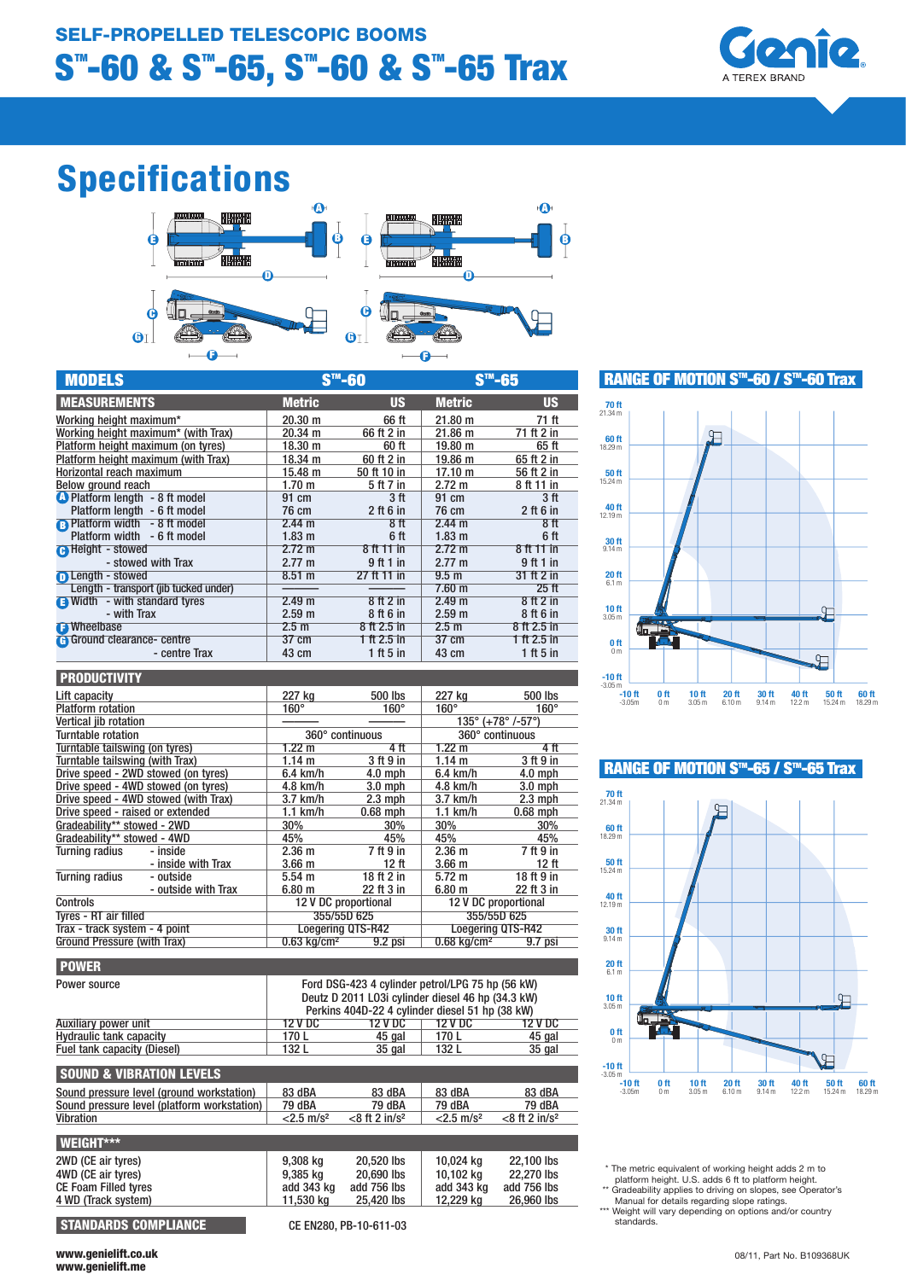

# Specifications



| <b>MODELS</b>                         | S™-60             |                 | <b>CIM_RL</b>     |                 |
|---------------------------------------|-------------------|-----------------|-------------------|-----------------|
| <b>MEASUREMENTS</b>                   | <b>Metric</b>     | <b>US</b>       | <b>Metric</b>     | <b>US</b>       |
| Working height maximum*               | $20.30 \text{ m}$ | 66 ft           | 21.80 m           | 71 ft           |
| Working height maximum* (with Trax)   | 20.34 m           | 66 ft 2 in      | 21.86 m           | 71 ft 2 in      |
| Platform height maximum (on tyres)    | $18.30 \text{ m}$ | 60 ft           | 19.80 m           | 65 ft           |
| Platform height maximum (with Trax)   | 18.34 m           | 60 ft 2 in      | 19.86 m           | 65 ft 2 in      |
| Horizontal reach maximum              | 15.48 m           | 50 ft 10 in     | 17.10 m           | 56 ft 2 in      |
| Below ground reach                    | 1.70 <sub>m</sub> | 5 ft 7 in       | $2.72 \text{ m}$  | 8 ft 11 in      |
| <b>O</b> Platform length - 8 ft model | 91 cm             | 3 <sup>ft</sup> | 91 cm             | 3 <sub>ft</sub> |
| Platform length - 6 ft model          | 76 cm             | $2$ ft 6 in     | 76 cm             | $2$ ft 6 in     |
| <b>B</b> Platform width - 8 ft model  | 2.44 m            | 8f              | 2.44 m            | 8ff             |
| Platform width - 6 ft model           | $1.83 \text{ m}$  | 6 ft            | 1.83 <sub>m</sub> | 6 ft            |
| <b>A</b> Height - stowed              | $2.72 \text{ m}$  | 8 ft 11 in      | 2.72 m            | 8 ft 11 in      |
| - stowed with Trax                    | $2.77 \text{ m}$  | 9 ft 1 in       | $2.77 \text{ m}$  | 9 ft 1 in       |
| <b>n</b> Length - stowed              | 8.51 m            | 27 ft 11 in     | 9.5 <sub>m</sub>  | 31 ft 2 in      |
| Length - transport (jib tucked under) |                   |                 | $7.60$ m          | $25$ ft         |
| <b>a</b> Width - with standard tyres  | 2.49 m            | $8$ ft $2$ in   | 2.49 m            | $8$ ft $2$ in   |
| - with Trax                           | 2.59 m            | 8 ft 6 in       | 2.59 m            | 8 ft 6 in       |
| <b>B</b> Wheelbase                    | 2.5 <sub>m</sub>  | 8 ft 2.5 in     | 2.5 <sub>m</sub>  | 8 ft 2.5 in     |
| <b>G</b> Ground clearance- centre     | 37 cm             | 1 ft 2.5 in     | 37 cm             | 1 ft 2.5 in     |
| - centre Trax                         | 43 cm             | 1 ft 5 in       | 43 cm             | $1$ ft 5 in     |

| <b>PRODUCTIVITY</b>                  |                     |                                                      |                   |                                                 |             |  |
|--------------------------------------|---------------------|------------------------------------------------------|-------------------|-------------------------------------------------|-------------|--|
| Lift capacity                        |                     | 227 kg                                               | 500 lbs           | 227 kg                                          | 500 lbs     |  |
| <b>Platform rotation</b>             |                     | $160^\circ$                                          | $160^\circ$       | $160^\circ$                                     | $160^\circ$ |  |
| Vertical iib rotation                |                     |                                                      |                   | $135^{\circ}$ (+78 $^{\circ}$ /-57 $^{\circ}$ ) |             |  |
| Turntable rotation                   |                     | 360° continuous                                      |                   | 360° continuous                                 |             |  |
| Turntable tailswing (on tyres)       |                     | $1.22 \text{ m}$                                     | 4 ft              | $1.22 \text{ m}$                                | 4 ft        |  |
| Turntable tailswing (with Trax)      |                     | 1.14 m                                               | 3 ft 9 in         | 1.14 m                                          | 3 ft 9 in   |  |
| Drive speed - 2WD stowed (on tyres)  |                     | 6.4 km/h                                             | $4.0$ mph         | $6.4$ km/h                                      | $4.0$ mph   |  |
| Drive speed - 4WD stowed (on tyres)  |                     | 4.8 km/h                                             | $3.0$ mph         | 4.8 km/h                                        | $3.0$ mph   |  |
| Drive speed - 4WD stowed (with Trax) |                     | $3.7$ km/h                                           | $2.3 \text{ mph}$ | $3.7$ km/h                                      | $2.3$ mph   |  |
| Drive speed - raised or extended     |                     | $1.1$ km/h                                           | $0.68$ mph        | $1.1$ km/h                                      | $0.68$ mph  |  |
| Gradeability** stowed - 2WD          |                     | 30%                                                  | 30%               | 30%                                             | 30%         |  |
| Gradeability** stowed - 4WD          |                     | 45%                                                  | 45%               | 45%                                             | 45%         |  |
| Turning radius                       | - inside            | 2.36 <sub>m</sub>                                    | 7 ft 9 in         | $2.36 \text{ m}$                                | 7 ft 9 in   |  |
|                                      | - inside with Trax  | 3.66 <sub>m</sub>                                    | 12 ft             | 3.66 <sub>m</sub>                               | 12 ft       |  |
| <b>Turning radius</b>                | - outside           | $5.54 \; m$                                          | 18 ft 2 in        | $5.72 \text{ m}$                                | 18 ft 9 in  |  |
|                                      | - outside with Trax | 6.80 m                                               | 22 ft 3 in        | $6.80 \text{ m}$                                | 22 ft 3 in  |  |
| Controls                             |                     | 12 V DC proportional<br>12 V DC proportional         |                   |                                                 |             |  |
| Tvres - RT air filled                |                     |                                                      | 355/55D 625       |                                                 | 355/55D 625 |  |
| Trax - track system - 4 point        |                     | <b>Loegering QTS-R42</b><br><b>Loegering QTS-R42</b> |                   |                                                 |             |  |
| Ground Pressure (with Trax)          |                     | $0.63$ kg/cm <sup>2</sup>                            | $9.2$ psi         | $0.68$ kg/cm <sup>2</sup>                       | $9.7$ psi   |  |

| Ford DSG-423 4 cylinder petrol/LPG 75 hp (56 kW)<br>Deutz D 2011 L03i cylinder diesel 46 hp (34.3 kW)<br>Perkins 404D-22 4 cylinder diesel 51 hp (38 kW) |                      |                          |                      |  |
|----------------------------------------------------------------------------------------------------------------------------------------------------------|----------------------|--------------------------|----------------------|--|
| 12 V DC                                                                                                                                                  | 12 V DC              | 12 V DC                  | 12 V DC              |  |
| 170L                                                                                                                                                     | 45 gal               | 170L                     | 45 gal               |  |
| 132 L                                                                                                                                                    | $35$ gal             | 132 L                    | 35 gal               |  |
|                                                                                                                                                          |                      |                          |                      |  |
| 83 dBA                                                                                                                                                   | 83 dBA               | 83 dBA                   | 83 dBA               |  |
| 79 dBA                                                                                                                                                   | 79 dBA               | 79 dBA                   | 79 dBA               |  |
| $<$ 2.5 m/s <sup>2</sup>                                                                                                                                 | $<$ 8 ft 2 in/ $s^2$ | $<$ 2.5 m/s <sup>2</sup> | $<$ 8 ft 2 in/ $s^2$ |  |
|                                                                                                                                                          |                      |                          |                      |  |
| 9,308 kg                                                                                                                                                 | 20,520 lbs           | 10,024 kg                | 22.100 lbs           |  |
| 9,385 kg                                                                                                                                                 | 20,690 lbs           | 10.102 ka                | 22,270 lbs           |  |
| add 343 kg                                                                                                                                               | add 756 lbs          | add 343 kg               | add 756 lbs          |  |
| 11,530 kg                                                                                                                                                | 25.420 lbs           | 12,229 kg                | 26,960 lbs           |  |
|                                                                                                                                                          |                      |                          |                      |  |

STANDARDS COMPLIANCE CE FN280, PB-10-611-03



RANGE OF MOTION S™-60 / S™-60 Trax

## RANGE OF MOTION  $S<sup>m</sup>$ -65 /  $S<sup>m</sup>$ -65 Trax



\* The metric equivalent of working height adds 2 m to

platform height. U.S. adds 6 ft to platform height.<br>
\*\* Gradeability applies to driving on slopes, see Operator's<br>
Manual for details regarding slope ratings.<br>
\*\*\* Weight will vary depending on options and/or country

standards.